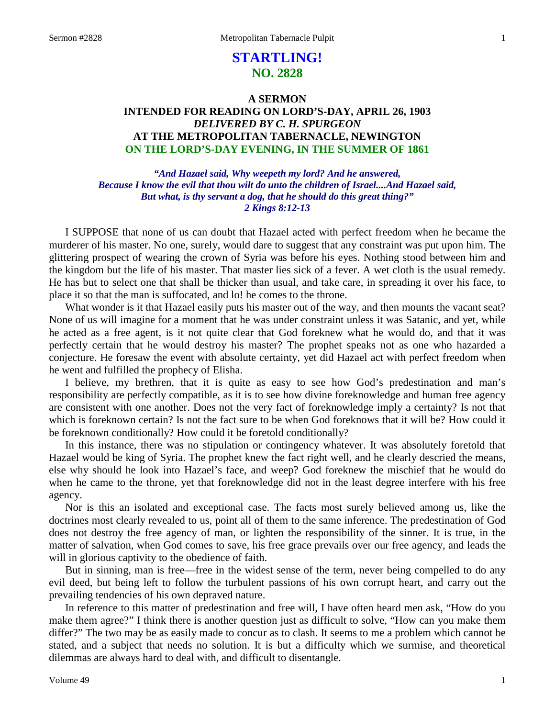# **STARTLING! NO. 2828**

## **A SERMON INTENDED FOR READING ON LORD'S-DAY, APRIL 26, 1903** *DELIVERED BY C. H. SPURGEON* **AT THE METROPOLITAN TABERNACLE, NEWINGTON ON THE LORD'S-DAY EVENING, IN THE SUMMER OF 1861**

*"And Hazael said, Why weepeth my lord? And he answered, Because I know the evil that thou wilt do unto the children of Israel....And Hazael said, But what, is thy servant a dog, that he should do this great thing?" 2 Kings 8:12-13*

I SUPPOSE that none of us can doubt that Hazael acted with perfect freedom when he became the murderer of his master. No one, surely, would dare to suggest that any constraint was put upon him. The glittering prospect of wearing the crown of Syria was before his eyes. Nothing stood between him and the kingdom but the life of his master. That master lies sick of a fever. A wet cloth is the usual remedy. He has but to select one that shall be thicker than usual, and take care, in spreading it over his face, to place it so that the man is suffocated, and lo! he comes to the throne.

What wonder is it that Hazael easily puts his master out of the way, and then mounts the vacant seat? None of us will imagine for a moment that he was under constraint unless it was Satanic, and yet, while he acted as a free agent, is it not quite clear that God foreknew what he would do, and that it was perfectly certain that he would destroy his master? The prophet speaks not as one who hazarded a conjecture. He foresaw the event with absolute certainty, yet did Hazael act with perfect freedom when he went and fulfilled the prophecy of Elisha.

I believe, my brethren, that it is quite as easy to see how God's predestination and man's responsibility are perfectly compatible, as it is to see how divine foreknowledge and human free agency are consistent with one another. Does not the very fact of foreknowledge imply a certainty? Is not that which is foreknown certain? Is not the fact sure to be when God foreknows that it will be? How could it be foreknown conditionally? How could it be foretold conditionally?

In this instance, there was no stipulation or contingency whatever. It was absolutely foretold that Hazael would be king of Syria. The prophet knew the fact right well, and he clearly descried the means, else why should he look into Hazael's face, and weep? God foreknew the mischief that he would do when he came to the throne, yet that foreknowledge did not in the least degree interfere with his free agency.

Nor is this an isolated and exceptional case. The facts most surely believed among us, like the doctrines most clearly revealed to us, point all of them to the same inference. The predestination of God does not destroy the free agency of man, or lighten the responsibility of the sinner. It is true, in the matter of salvation, when God comes to save, his free grace prevails over our free agency, and leads the will in glorious captivity to the obedience of faith.

But in sinning, man is free—free in the widest sense of the term, never being compelled to do any evil deed, but being left to follow the turbulent passions of his own corrupt heart, and carry out the prevailing tendencies of his own depraved nature.

In reference to this matter of predestination and free will, I have often heard men ask, "How do you make them agree?" I think there is another question just as difficult to solve, "How can you make them differ?" The two may be as easily made to concur as to clash. It seems to me a problem which cannot be stated, and a subject that needs no solution. It is but a difficulty which we surmise, and theoretical dilemmas are always hard to deal with, and difficult to disentangle.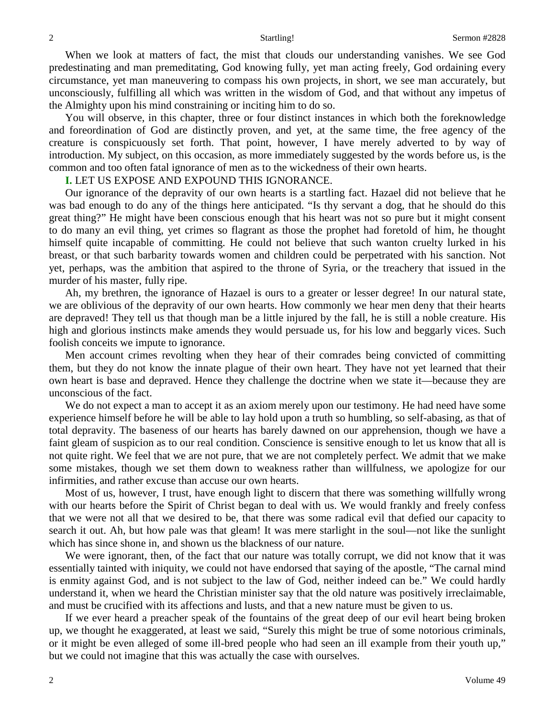When we look at matters of fact, the mist that clouds our understanding vanishes. We see God predestinating and man premeditating, God knowing fully, yet man acting freely, God ordaining every circumstance, yet man maneuvering to compass his own projects, in short, we see man accurately, but unconsciously, fulfilling all which was written in the wisdom of God, and that without any impetus of the Almighty upon his mind constraining or inciting him to do so.

You will observe, in this chapter, three or four distinct instances in which both the foreknowledge and foreordination of God are distinctly proven, and yet, at the same time, the free agency of the creature is conspicuously set forth. That point, however, I have merely adverted to by way of introduction. My subject, on this occasion, as more immediately suggested by the words before us, is the common and too often fatal ignorance of men as to the wickedness of their own hearts.

### **I.** LET US EXPOSE AND EXPOUND THIS IGNORANCE.

Our ignorance of the depravity of our own hearts is a startling fact. Hazael did not believe that he was bad enough to do any of the things here anticipated. "Is thy servant a dog, that he should do this great thing?" He might have been conscious enough that his heart was not so pure but it might consent to do many an evil thing, yet crimes so flagrant as those the prophet had foretold of him, he thought himself quite incapable of committing. He could not believe that such wanton cruelty lurked in his breast, or that such barbarity towards women and children could be perpetrated with his sanction. Not yet, perhaps, was the ambition that aspired to the throne of Syria, or the treachery that issued in the murder of his master, fully ripe.

Ah, my brethren, the ignorance of Hazael is ours to a greater or lesser degree! In our natural state, we are oblivious of the depravity of our own hearts. How commonly we hear men deny that their hearts are depraved! They tell us that though man be a little injured by the fall, he is still a noble creature. His high and glorious instincts make amends they would persuade us, for his low and beggarly vices. Such foolish conceits we impute to ignorance.

Men account crimes revolting when they hear of their comrades being convicted of committing them, but they do not know the innate plague of their own heart. They have not yet learned that their own heart is base and depraved. Hence they challenge the doctrine when we state it—because they are unconscious of the fact.

We do not expect a man to accept it as an axiom merely upon our testimony. He had need have some experience himself before he will be able to lay hold upon a truth so humbling, so self-abasing, as that of total depravity. The baseness of our hearts has barely dawned on our apprehension, though we have a faint gleam of suspicion as to our real condition. Conscience is sensitive enough to let us know that all is not quite right. We feel that we are not pure, that we are not completely perfect. We admit that we make some mistakes, though we set them down to weakness rather than willfulness, we apologize for our infirmities, and rather excuse than accuse our own hearts.

Most of us, however, I trust, have enough light to discern that there was something willfully wrong with our hearts before the Spirit of Christ began to deal with us. We would frankly and freely confess that we were not all that we desired to be, that there was some radical evil that defied our capacity to search it out. Ah, but how pale was that gleam! It was mere starlight in the soul—not like the sunlight which has since shone in, and shown us the blackness of our nature.

We were ignorant, then, of the fact that our nature was totally corrupt, we did not know that it was essentially tainted with iniquity, we could not have endorsed that saying of the apostle, "The carnal mind is enmity against God, and is not subject to the law of God, neither indeed can be." We could hardly understand it, when we heard the Christian minister say that the old nature was positively irreclaimable, and must be crucified with its affections and lusts, and that a new nature must be given to us.

If we ever heard a preacher speak of the fountains of the great deep of our evil heart being broken up, we thought he exaggerated, at least we said, "Surely this might be true of some notorious criminals, or it might be even alleged of some ill-bred people who had seen an ill example from their youth up," but we could not imagine that this was actually the case with ourselves.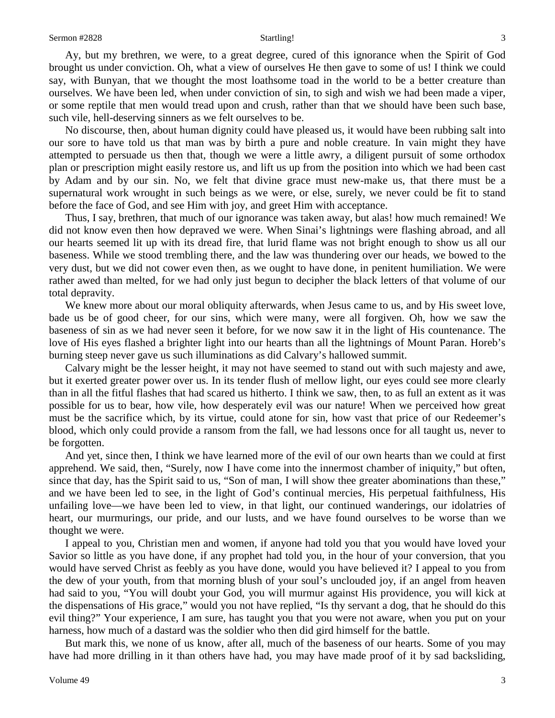Ay, but my brethren, we were, to a great degree, cured of this ignorance when the Spirit of God brought us under conviction. Oh, what a view of ourselves He then gave to some of us! I think we could say, with Bunyan, that we thought the most loathsome toad in the world to be a better creature than ourselves. We have been led, when under conviction of sin, to sigh and wish we had been made a viper, or some reptile that men would tread upon and crush, rather than that we should have been such base, such vile, hell-deserving sinners as we felt ourselves to be.

No discourse, then, about human dignity could have pleased us, it would have been rubbing salt into our sore to have told us that man was by birth a pure and noble creature. In vain might they have attempted to persuade us then that, though we were a little awry, a diligent pursuit of some orthodox plan or prescription might easily restore us, and lift us up from the position into which we had been cast by Adam and by our sin. No, we felt that divine grace must new-make us, that there must be a supernatural work wrought in such beings as we were, or else, surely, we never could be fit to stand before the face of God, and see Him with joy, and greet Him with acceptance.

Thus, I say, brethren, that much of our ignorance was taken away, but alas! how much remained! We did not know even then how depraved we were. When Sinai's lightnings were flashing abroad, and all our hearts seemed lit up with its dread fire, that lurid flame was not bright enough to show us all our baseness. While we stood trembling there, and the law was thundering over our heads, we bowed to the very dust, but we did not cower even then, as we ought to have done, in penitent humiliation. We were rather awed than melted, for we had only just begun to decipher the black letters of that volume of our total depravity.

We knew more about our moral obliquity afterwards, when Jesus came to us, and by His sweet love, bade us be of good cheer, for our sins, which were many, were all forgiven. Oh, how we saw the baseness of sin as we had never seen it before, for we now saw it in the light of His countenance. The love of His eyes flashed a brighter light into our hearts than all the lightnings of Mount Paran. Horeb's burning steep never gave us such illuminations as did Calvary's hallowed summit.

Calvary might be the lesser height, it may not have seemed to stand out with such majesty and awe, but it exerted greater power over us. In its tender flush of mellow light, our eyes could see more clearly than in all the fitful flashes that had scared us hitherto. I think we saw, then, to as full an extent as it was possible for us to bear, how vile, how desperately evil was our nature! When we perceived how great must be the sacrifice which, by its virtue, could atone for sin, how vast that price of our Redeemer's blood, which only could provide a ransom from the fall, we had lessons once for all taught us, never to be forgotten.

And yet, since then, I think we have learned more of the evil of our own hearts than we could at first apprehend. We said, then, "Surely, now I have come into the innermost chamber of iniquity," but often, since that day, has the Spirit said to us, "Son of man, I will show thee greater abominations than these," and we have been led to see, in the light of God's continual mercies, His perpetual faithfulness, His unfailing love—we have been led to view, in that light, our continued wanderings, our idolatries of heart, our murmurings, our pride, and our lusts, and we have found ourselves to be worse than we thought we were.

I appeal to you, Christian men and women, if anyone had told you that you would have loved your Savior so little as you have done, if any prophet had told you, in the hour of your conversion, that you would have served Christ as feebly as you have done, would you have believed it? I appeal to you from the dew of your youth, from that morning blush of your soul's unclouded joy, if an angel from heaven had said to you, "You will doubt your God, you will murmur against His providence, you will kick at the dispensations of His grace," would you not have replied, "Is thy servant a dog, that he should do this evil thing?" Your experience, I am sure, has taught you that you were not aware, when you put on your harness, how much of a dastard was the soldier who then did gird himself for the battle.

But mark this, we none of us know, after all, much of the baseness of our hearts. Some of you may have had more drilling in it than others have had, you may have made proof of it by sad backsliding,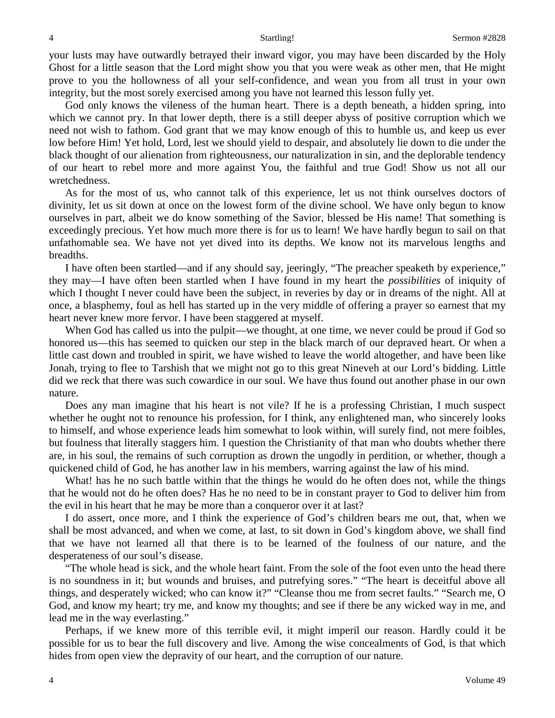your lusts may have outwardly betrayed their inward vigor, you may have been discarded by the Holy Ghost for a little season that the Lord might show you that you were weak as other men, that He might prove to you the hollowness of all your self-confidence, and wean you from all trust in your own integrity, but the most sorely exercised among you have not learned this lesson fully yet.

God only knows the vileness of the human heart. There is a depth beneath, a hidden spring, into which we cannot pry. In that lower depth, there is a still deeper abyss of positive corruption which we need not wish to fathom. God grant that we may know enough of this to humble us, and keep us ever low before Him! Yet hold, Lord, lest we should yield to despair, and absolutely lie down to die under the black thought of our alienation from righteousness, our naturalization in sin, and the deplorable tendency of our heart to rebel more and more against You, the faithful and true God! Show us not all our wretchedness.

As for the most of us, who cannot talk of this experience, let us not think ourselves doctors of divinity, let us sit down at once on the lowest form of the divine school. We have only begun to know ourselves in part, albeit we do know something of the Savior, blessed be His name! That something is exceedingly precious. Yet how much more there is for us to learn! We have hardly begun to sail on that unfathomable sea. We have not yet dived into its depths. We know not its marvelous lengths and breadths.

I have often been startled—and if any should say, jeeringly, "The preacher speaketh by experience," they may—I have often been startled when I have found in my heart the *possibilities* of iniquity of which I thought I never could have been the subject, in reveries by day or in dreams of the night. All at once, a blasphemy, foul as hell has started up in the very middle of offering a prayer so earnest that my heart never knew more fervor. I have been staggered at myself.

When God has called us into the pulpit—we thought, at one time, we never could be proud if God so honored us—this has seemed to quicken our step in the black march of our depraved heart. Or when a little cast down and troubled in spirit, we have wished to leave the world altogether, and have been like Jonah, trying to flee to Tarshish that we might not go to this great Nineveh at our Lord's bidding. Little did we reck that there was such cowardice in our soul. We have thus found out another phase in our own nature.

Does any man imagine that his heart is not vile? If he is a professing Christian, I much suspect whether he ought not to renounce his profession, for I think, any enlightened man, who sincerely looks to himself, and whose experience leads him somewhat to look within, will surely find, not mere foibles, but foulness that literally staggers him. I question the Christianity of that man who doubts whether there are, in his soul, the remains of such corruption as drown the ungodly in perdition, or whether, though a quickened child of God, he has another law in his members, warring against the law of his mind.

What! has he no such battle within that the things he would do he often does not, while the things that he would not do he often does? Has he no need to be in constant prayer to God to deliver him from the evil in his heart that he may be more than a conqueror over it at last?

I do assert, once more, and I think the experience of God's children bears me out, that, when we shall be most advanced, and when we come, at last, to sit down in God's kingdom above, we shall find that we have not learned all that there is to be learned of the foulness of our nature, and the desperateness of our soul's disease.

"The whole head is sick, and the whole heart faint. From the sole of the foot even unto the head there is no soundness in it; but wounds and bruises, and putrefying sores." "The heart is deceitful above all things, and desperately wicked; who can know it?" "Cleanse thou me from secret faults." "Search me, O God, and know my heart; try me, and know my thoughts; and see if there be any wicked way in me, and lead me in the way everlasting."

Perhaps, if we knew more of this terrible evil, it might imperil our reason. Hardly could it be possible for us to bear the full discovery and live. Among the wise concealments of God, is that which hides from open view the depravity of our heart, and the corruption of our nature.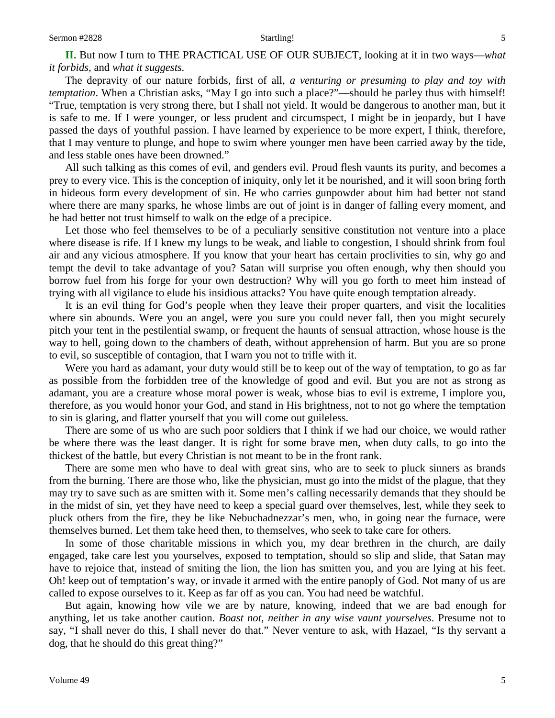**II.** But now I turn to THE PRACTICAL USE OF OUR SUBJECT, looking at it in two ways—*what it forbids,* and *what it suggests.* 

The depravity of our nature forbids, first of all, *a venturing or presuming to play and toy with temptation*. When a Christian asks, "May I go into such a place?"—should he parley thus with himself! "True, temptation is very strong there, but I shall not yield. It would be dangerous to another man, but it is safe to me. If I were younger, or less prudent and circumspect, I might be in jeopardy, but I have passed the days of youthful passion. I have learned by experience to be more expert, I think, therefore, that I may venture to plunge, and hope to swim where younger men have been carried away by the tide, and less stable ones have been drowned."

All such talking as this comes of evil, and genders evil. Proud flesh vaunts its purity, and becomes a prey to every vice. This is the conception of iniquity, only let it be nourished, and it will soon bring forth in hideous form every development of sin. He who carries gunpowder about him had better not stand where there are many sparks, he whose limbs are out of joint is in danger of falling every moment, and he had better not trust himself to walk on the edge of a precipice.

Let those who feel themselves to be of a peculiarly sensitive constitution not venture into a place where disease is rife. If I knew my lungs to be weak, and liable to congestion, I should shrink from foul air and any vicious atmosphere. If you know that your heart has certain proclivities to sin, why go and tempt the devil to take advantage of you? Satan will surprise you often enough, why then should you borrow fuel from his forge for your own destruction? Why will you go forth to meet him instead of trying with all vigilance to elude his insidious attacks? You have quite enough temptation already.

It is an evil thing for God's people when they leave their proper quarters, and visit the localities where sin abounds. Were you an angel, were you sure you could never fall, then you might securely pitch your tent in the pestilential swamp, or frequent the haunts of sensual attraction, whose house is the way to hell, going down to the chambers of death, without apprehension of harm. But you are so prone to evil, so susceptible of contagion, that I warn you not to trifle with it.

Were you hard as adamant, your duty would still be to keep out of the way of temptation, to go as far as possible from the forbidden tree of the knowledge of good and evil. But you are not as strong as adamant, you are a creature whose moral power is weak, whose bias to evil is extreme, I implore you, therefore, as you would honor your God, and stand in His brightness, not to not go where the temptation to sin is glaring, and flatter yourself that you will come out guileless.

There are some of us who are such poor soldiers that I think if we had our choice, we would rather be where there was the least danger. It is right for some brave men, when duty calls, to go into the thickest of the battle, but every Christian is not meant to be in the front rank.

There are some men who have to deal with great sins, who are to seek to pluck sinners as brands from the burning. There are those who, like the physician, must go into the midst of the plague, that they may try to save such as are smitten with it. Some men's calling necessarily demands that they should be in the midst of sin, yet they have need to keep a special guard over themselves, lest, while they seek to pluck others from the fire, they be like Nebuchadnezzar's men, who, in going near the furnace, were themselves burned. Let them take heed then, to themselves, who seek to take care for others.

In some of those charitable missions in which you, my dear brethren in the church, are daily engaged, take care lest you yourselves, exposed to temptation, should so slip and slide, that Satan may have to rejoice that, instead of smiting the lion, the lion has smitten you, and you are lying at his feet. Oh! keep out of temptation's way, or invade it armed with the entire panoply of God. Not many of us are called to expose ourselves to it. Keep as far off as you can. You had need be watchful.

But again, knowing how vile we are by nature, knowing, indeed that we are bad enough for anything, let us take another caution. *Boast not, neither in any wise vaunt yourselves*. Presume not to say, "I shall never do this, I shall never do that." Never venture to ask, with Hazael, "Is thy servant a dog, that he should do this great thing?"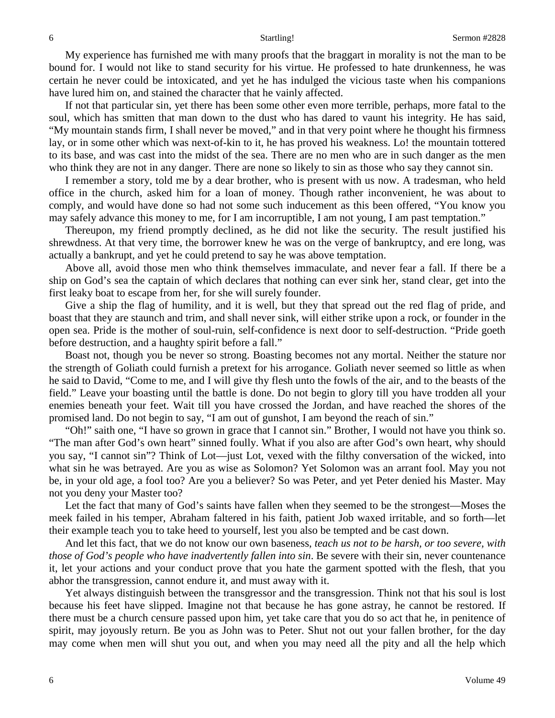My experience has furnished me with many proofs that the braggart in morality is not the man to be bound for. I would not like to stand security for his virtue. He professed to hate drunkenness, he was certain he never could be intoxicated, and yet he has indulged the vicious taste when his companions have lured him on, and stained the character that he vainly affected.

If not that particular sin, yet there has been some other even more terrible, perhaps, more fatal to the soul, which has smitten that man down to the dust who has dared to vaunt his integrity. He has said, "My mountain stands firm, I shall never be moved," and in that very point where he thought his firmness lay, or in some other which was next-of-kin to it, he has proved his weakness. Lo! the mountain tottered to its base, and was cast into the midst of the sea. There are no men who are in such danger as the men who think they are not in any danger. There are none so likely to sin as those who say they cannot sin.

I remember a story, told me by a dear brother, who is present with us now. A tradesman, who held office in the church, asked him for a loan of money. Though rather inconvenient, he was about to comply, and would have done so had not some such inducement as this been offered, "You know you may safely advance this money to me, for I am incorruptible, I am not young, I am past temptation."

Thereupon, my friend promptly declined, as he did not like the security. The result justified his shrewdness. At that very time, the borrower knew he was on the verge of bankruptcy, and ere long, was actually a bankrupt, and yet he could pretend to say he was above temptation.

Above all, avoid those men who think themselves immaculate, and never fear a fall. If there be a ship on God's sea the captain of which declares that nothing can ever sink her, stand clear, get into the first leaky boat to escape from her, for she will surely founder.

Give a ship the flag of humility, and it is well, but they that spread out the red flag of pride, and boast that they are staunch and trim, and shall never sink, will either strike upon a rock, or founder in the open sea. Pride is the mother of soul-ruin, self-confidence is next door to self-destruction. "Pride goeth before destruction, and a haughty spirit before a fall."

Boast not, though you be never so strong. Boasting becomes not any mortal. Neither the stature nor the strength of Goliath could furnish a pretext for his arrogance. Goliath never seemed so little as when he said to David, "Come to me, and I will give thy flesh unto the fowls of the air, and to the beasts of the field." Leave your boasting until the battle is done. Do not begin to glory till you have trodden all your enemies beneath your feet. Wait till you have crossed the Jordan, and have reached the shores of the promised land. Do not begin to say, "I am out of gunshot, I am beyond the reach of sin."

"Oh!" saith one, "I have so grown in grace that I cannot sin." Brother, I would not have you think so. "The man after God's own heart" sinned foully. What if you also are after God's own heart, why should you say, "I cannot sin"? Think of Lot—just Lot, vexed with the filthy conversation of the wicked, into what sin he was betrayed. Are you as wise as Solomon? Yet Solomon was an arrant fool. May you not be, in your old age, a fool too? Are you a believer? So was Peter, and yet Peter denied his Master. May not you deny your Master too?

Let the fact that many of God's saints have fallen when they seemed to be the strongest—Moses the meek failed in his temper, Abraham faltered in his faith, patient Job waxed irritable, and so forth—let their example teach you to take heed to yourself, lest you also be tempted and be cast down.

And let this fact, that we do not know our own baseness, *teach us not to be harsh, or too severe, with those of God's people who have inadvertently fallen into sin*. Be severe with their sin, never countenance it, let your actions and your conduct prove that you hate the garment spotted with the flesh, that you abhor the transgression, cannot endure it, and must away with it.

Yet always distinguish between the transgressor and the transgression. Think not that his soul is lost because his feet have slipped. Imagine not that because he has gone astray, he cannot be restored. If there must be a church censure passed upon him, yet take care that you do so act that he, in penitence of spirit, may joyously return. Be you as John was to Peter. Shut not out your fallen brother, for the day may come when men will shut you out, and when you may need all the pity and all the help which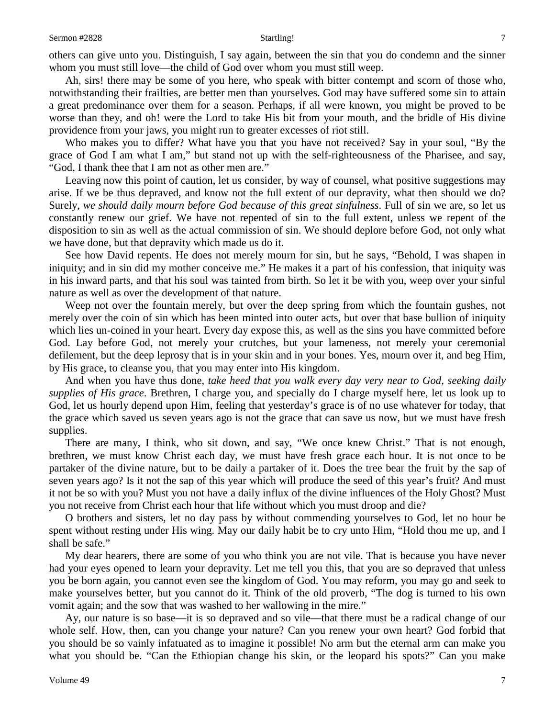others can give unto you. Distinguish, I say again, between the sin that you do condemn and the sinner whom you must still love—the child of God over whom you must still weep.

Ah, sirs! there may be some of you here, who speak with bitter contempt and scorn of those who, notwithstanding their frailties, are better men than yourselves. God may have suffered some sin to attain a great predominance over them for a season. Perhaps, if all were known, you might be proved to be worse than they, and oh! were the Lord to take His bit from your mouth, and the bridle of His divine providence from your jaws, you might run to greater excesses of riot still.

Who makes you to differ? What have you that you have not received? Say in your soul, "By the grace of God I am what I am," but stand not up with the self-righteousness of the Pharisee, and say, "God, I thank thee that I am not as other men are."

Leaving now this point of caution, let us consider, by way of counsel, what positive suggestions may arise. If we be thus depraved, and know not the full extent of our depravity, what then should we do? Surely, *we should daily mourn before God because of this great sinfulness*. Full of sin we are, so let us constantly renew our grief. We have not repented of sin to the full extent, unless we repent of the disposition to sin as well as the actual commission of sin. We should deplore before God, not only what we have done, but that depravity which made us do it.

See how David repents. He does not merely mourn for sin, but he says, "Behold, I was shapen in iniquity; and in sin did my mother conceive me." He makes it a part of his confession, that iniquity was in his inward parts, and that his soul was tainted from birth. So let it be with you, weep over your sinful nature as well as over the development of that nature.

Weep not over the fountain merely, but over the deep spring from which the fountain gushes, not merely over the coin of sin which has been minted into outer acts, but over that base bullion of iniquity which lies un-coined in your heart. Every day expose this, as well as the sins you have committed before God. Lay before God, not merely your crutches, but your lameness, not merely your ceremonial defilement, but the deep leprosy that is in your skin and in your bones. Yes, mourn over it, and beg Him, by His grace, to cleanse you, that you may enter into His kingdom.

And when you have thus done, *take heed that you walk every day very near to God, seeking daily supplies of His grace*. Brethren, I charge you, and specially do I charge myself here, let us look up to God, let us hourly depend upon Him, feeling that yesterday's grace is of no use whatever for today, that the grace which saved us seven years ago is not the grace that can save us now, but we must have fresh supplies.

There are many, I think, who sit down, and say, "We once knew Christ." That is not enough, brethren, we must know Christ each day, we must have fresh grace each hour. It is not once to be partaker of the divine nature, but to be daily a partaker of it. Does the tree bear the fruit by the sap of seven years ago? Is it not the sap of this year which will produce the seed of this year's fruit? And must it not be so with you? Must you not have a daily influx of the divine influences of the Holy Ghost? Must you not receive from Christ each hour that life without which you must droop and die?

O brothers and sisters, let no day pass by without commending yourselves to God, let no hour be spent without resting under His wing. May our daily habit be to cry unto Him, "Hold thou me up, and I shall be safe."

My dear hearers, there are some of you who think you are not vile. That is because you have never had your eyes opened to learn your depravity. Let me tell you this, that you are so depraved that unless you be born again, you cannot even see the kingdom of God. You may reform, you may go and seek to make yourselves better, but you cannot do it. Think of the old proverb, "The dog is turned to his own vomit again; and the sow that was washed to her wallowing in the mire."

Ay, our nature is so base—it is so depraved and so vile—that there must be a radical change of our whole self. How, then, can you change your nature? Can you renew your own heart? God forbid that you should be so vainly infatuated as to imagine it possible! No arm but the eternal arm can make you what you should be. "Can the Ethiopian change his skin, or the leopard his spots?" Can you make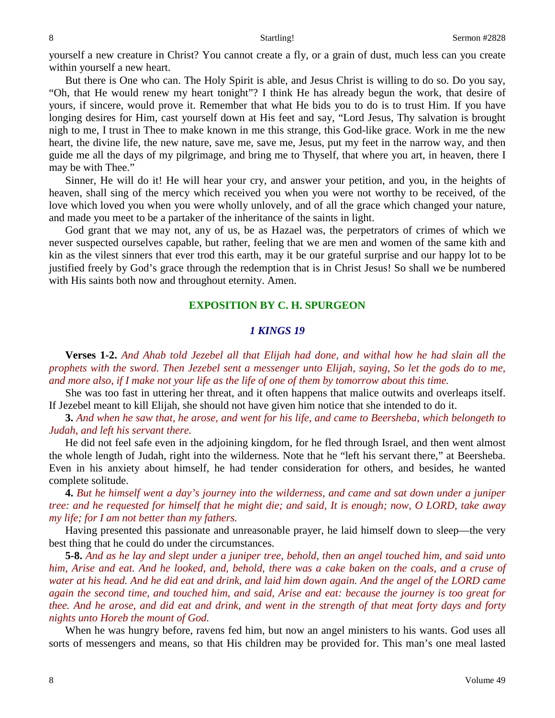yourself a new creature in Christ? You cannot create a fly, or a grain of dust, much less can you create within yourself a new heart.

But there is One who can. The Holy Spirit is able, and Jesus Christ is willing to do so. Do you say, "Oh, that He would renew my heart tonight"? I think He has already begun the work, that desire of yours, if sincere, would prove it. Remember that what He bids you to do is to trust Him. If you have longing desires for Him, cast yourself down at His feet and say, "Lord Jesus, Thy salvation is brought nigh to me, I trust in Thee to make known in me this strange, this God-like grace. Work in me the new heart, the divine life, the new nature, save me, save me, Jesus, put my feet in the narrow way, and then guide me all the days of my pilgrimage, and bring me to Thyself, that where you art, in heaven, there I may be with Thee."

Sinner, He will do it! He will hear your cry, and answer your petition, and you, in the heights of heaven, shall sing of the mercy which received you when you were not worthy to be received, of the love which loved you when you were wholly unlovely, and of all the grace which changed your nature, and made you meet to be a partaker of the inheritance of the saints in light.

God grant that we may not, any of us, be as Hazael was, the perpetrators of crimes of which we never suspected ourselves capable, but rather, feeling that we are men and women of the same kith and kin as the vilest sinners that ever trod this earth, may it be our grateful surprise and our happy lot to be justified freely by God's grace through the redemption that is in Christ Jesus! So shall we be numbered with His saints both now and throughout eternity. Amen.

## **EXPOSITION BY C. H. SPURGEON**

### *1 KINGS 19*

**Verses 1-2.** *And Ahab told Jezebel all that Elijah had done, and withal how he had slain all the prophets with the sword. Then Jezebel sent a messenger unto Elijah, saying, So let the gods do to me, and more also, if I make not your life as the life of one of them by tomorrow about this time.*

She was too fast in uttering her threat, and it often happens that malice outwits and overleaps itself. If Jezebel meant to kill Elijah, she should not have given him notice that she intended to do it.

**3.** *And when he saw that, he arose, and went for his life, and came to Beersheba, which belongeth to Judah, and left his servant there.*

He did not feel safe even in the adjoining kingdom, for he fled through Israel, and then went almost the whole length of Judah, right into the wilderness. Note that he "left his servant there," at Beersheba. Even in his anxiety about himself, he had tender consideration for others, and besides, he wanted complete solitude.

**4.** *But he himself went a day's journey into the wilderness, and came and sat down under a juniper tree: and he requested for himself that he might die; and said, It is enough; now, O LORD, take away my life; for I am not better than my fathers.*

Having presented this passionate and unreasonable prayer, he laid himself down to sleep—the very best thing that he could do under the circumstances.

**5-8.** *And as he lay and slept under a juniper tree, behold, then an angel touched him, and said unto him, Arise and eat. And he looked, and, behold, there was a cake baken on the coals, and a cruse of water at his head. And he did eat and drink, and laid him down again. And the angel of the LORD came again the second time, and touched him, and said, Arise and eat: because the journey is too great for thee. And he arose, and did eat and drink, and went in the strength of that meat forty days and forty nights unto Horeb the mount of God.*

When he was hungry before, ravens fed him, but now an angel ministers to his wants. God uses all sorts of messengers and means, so that His children may be provided for. This man's one meal lasted